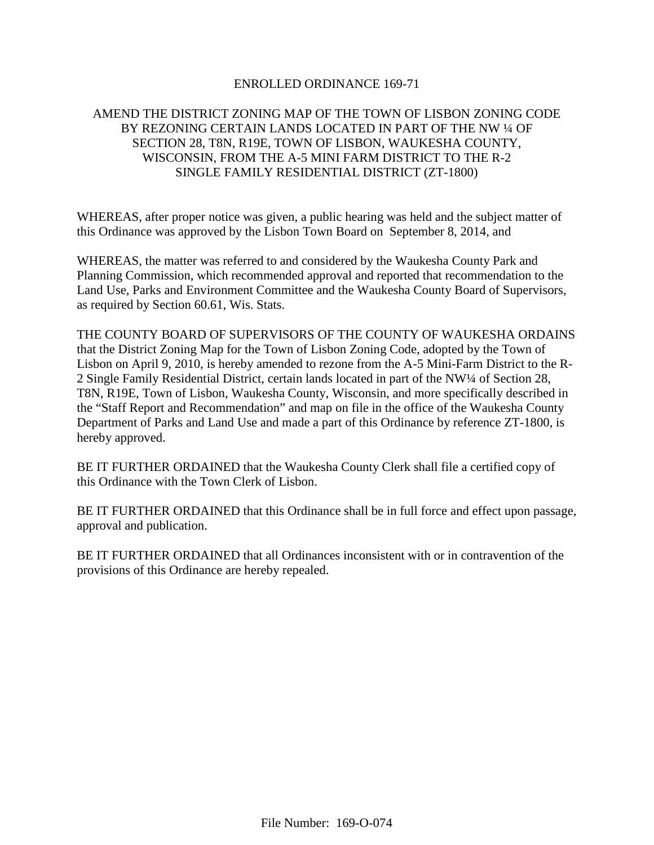### ENROLLED ORDINANCE 169-71

# AMEND THE DISTRICT ZONING MAP OF THE TOWN OF LISBON ZONING CODE BY REZONING CERTAIN LANDS LOCATED IN PART OF THE NW ¼ OF SECTION 28, T8N, R19E, TOWN OF LISBON, WAUKESHA COUNTY, WISCONSIN, FROM THE A-5 MINI FARM DISTRICT TO THE R-2 SINGLE FAMILY RESIDENTIAL DISTRICT (ZT-1800)

WHEREAS, after proper notice was given, a public hearing was held and the subject matter of this Ordinance was approved by the Lisbon Town Board on September 8, 2014, and

WHEREAS, the matter was referred to and considered by the Waukesha County Park and Planning Commission, which recommended approval and reported that recommendation to the Land Use, Parks and Environment Committee and the Waukesha County Board of Supervisors, as required by Section 60.61, Wis. Stats.

THE COUNTY BOARD OF SUPERVISORS OF THE COUNTY OF WAUKESHA ORDAINS that the District Zoning Map for the Town of Lisbon Zoning Code, adopted by the Town of Lisbon on April 9, 2010, is hereby amended to rezone from the A-5 Mini-Farm District to the R-2 Single Family Residential District, certain lands located in part of the NW¼ of Section 28, T8N, R19E, Town of Lisbon, Waukesha County, Wisconsin, and more specifically described in the "Staff Report and Recommendation" and map on file in the office of the Waukesha County Department of Parks and Land Use and made a part of this Ordinance by reference ZT-1800, is hereby approved.

BE IT FURTHER ORDAINED that the Waukesha County Clerk shall file a certified copy of this Ordinance with the Town Clerk of Lisbon.

BE IT FURTHER ORDAINED that this Ordinance shall be in full force and effect upon passage, approval and publication.

BE IT FURTHER ORDAINED that all Ordinances inconsistent with or in contravention of the provisions of this Ordinance are hereby repealed.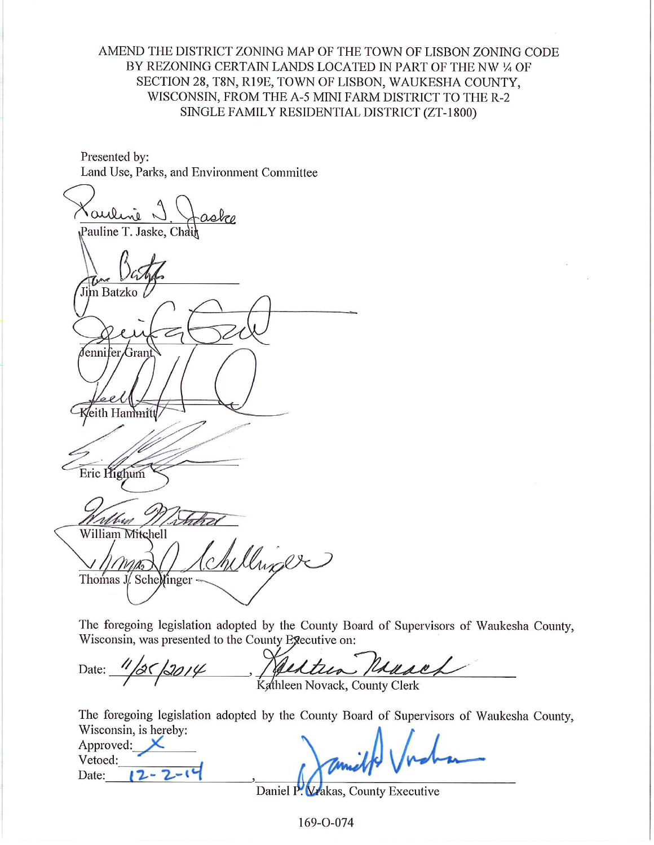AMEND THE DISTRICT ZONING MAP OF THE TOWN OF LISBON ZONING CODE BY REZONING CERTAIN LANDS LOCATED IN PART OF THE NW 1/4 OF SECTION 28, T8N, R19E, TOWN OF LISBON, WAUKESHA COUNTY, WISCONSIN, FROM THE A-5 MINI FARM DISTRICT TO THE R-2 SINGLE FAMILY RESIDENTIAL DISTRICT (ZT-1800)

Presented by: Land Use, Parks, and Environment Committee

Pauline T. Jaske, Chail **Jim Batzko** <sup>í</sup>ennifer ∕Grar Keith Hammitt Eric Highum rthy William Mitchell Minger Thomas J. Schellinger -

The foregoing legislation adopted by the County Board of Supervisors of Waukesha County, Wisconsin, was presented to the County Executive on:

extern Rosach 125/2014 Date: Kathleen Novack, County Clerk

The foregoing legislation adopted by the County Board of Supervisors of Waukesha County, Wisconsin is hereby:

| WISCONSIN, 15 ROLLOY.<br>Approved: |       |  |
|------------------------------------|-------|--|
| Vetoed:                            | mille |  |
| Date:                              |       |  |

Daniel P. Vrakas, County Executive

169-O-074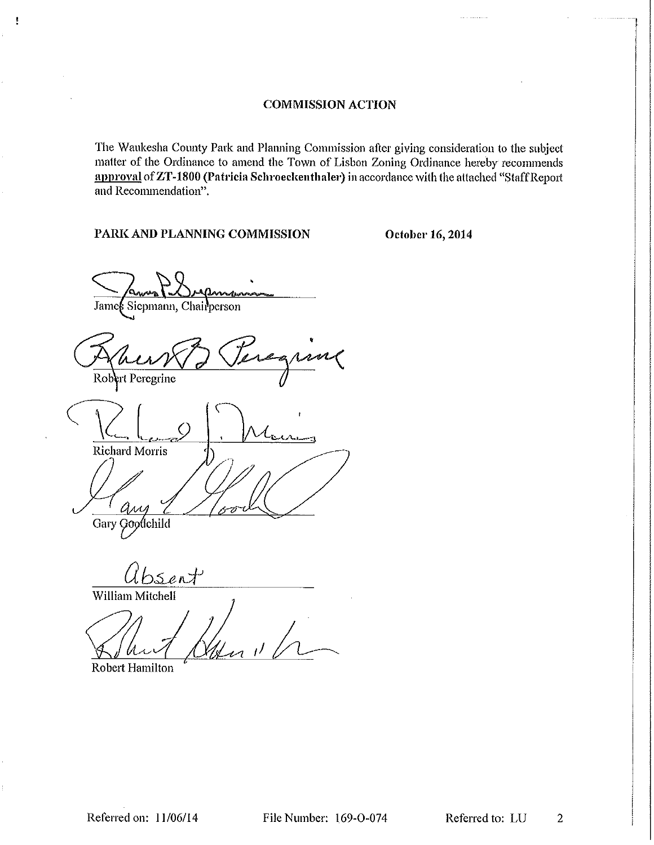#### **COMMISSION ACTION**

The Waukesha County Park and Planning Commission after giving consideration to the subject matter of the Ordinance to amend the Town of Lisbon Zoning Ordinance hereby recommends approval of ZT-1800 (Patricia Schroeckenthaler) in accordance with the attached "Staff Report and Recommendation".

PARK AND PLANNING COMMISSION

October 16, 2014

James Siepmann, Chairperson

ţ

Robert Peregrine

**Richard Morris** am

Gary Goodchild

Ubsent

William Mitchell

**Robert Hamilton**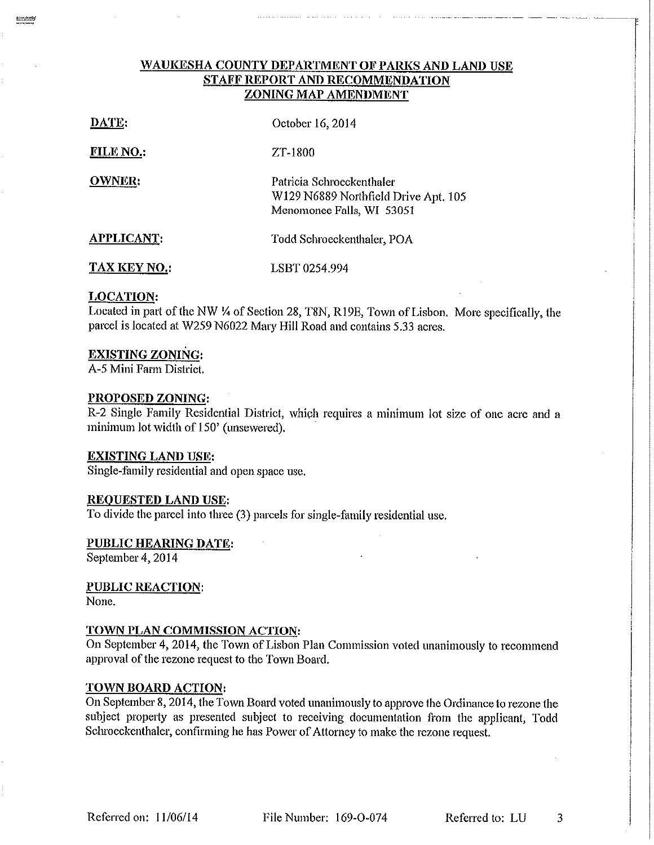## WAUKESHA COUNTY DEPARTMENT OF PARKS AND LAND USE **STAFF REPORT AND RECOMMENDATION** ZONING MAP AMENDMENT

DATE:

October 16, 2014

**FILE NO.:** ZT-1800

**OWNER:** 

Patricia Schroeckenthaler W129 N6889 Northfield Drive Apt. 105 Menomonee Falls, WI 53051

**APPLICANT:** 

Todd Schroeckenthaler, POA

TAX KEY NO.: LSBT 0254.994

#### **LOCATION:**

Located in part of the NW % of Section 28, T8N, R19E, Town of Lisbon. More specifically, the parcel is located at W259 N6022 Mary Hill Road and contains 5.33 acres.

### **EXISTING ZONING:**

A-5 Mini Farm District.

#### PROPOSED ZONING:

R-2 Single Family Residential District, which requires a minimum lot size of one acre and a minimum lot width of 150' (unsewered).

#### <u>EXISTING LAND USE:</u>

Single-family residential and open space use.

### REQUESTED LAND USE:

To divide the parcel into three (3) parcels for single-family residential use.

#### PUBLIC HEARING DATE:

September 4, 2014

# **PUBLIC REACTION:**

None.

#### TOWN PLAN COMMISSION ACTION:

On September 4, 2014, the Town of Lisbon Plan Commission voted unanimously to recommend approval of the rezone request to the Town Board.

#### **TOWN BOARD ACTION:**

On September 8, 2014, the Town Board voted unanimously to approve the Ordinance to rezone the subject property as presented subject to receiving documentation from the applicant, Todd Schroeckenthaler, confirming he has Power of Attorney to make the rezone request.

Referred to: LU 3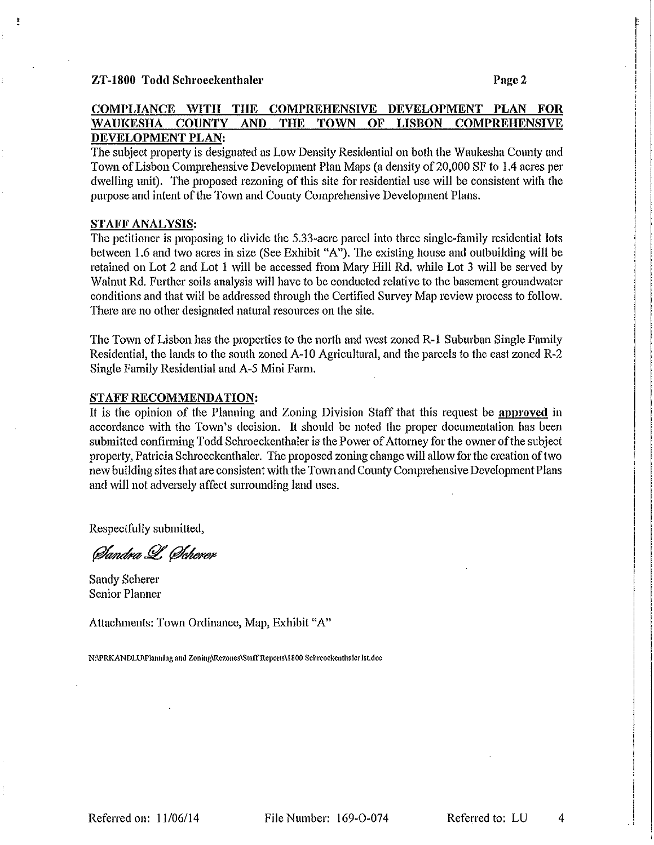#### COMPLIANCE WITH THE COMPREHENSIVE DEVELOPMENT PLAN FOR WAUKESHA COUNTY AND **THE TOWN** OF **LISBON COMPREHENSIVE** DEVELOPMENT PLAN:

The subject property is designated as Low Density Residential on both the Waukesha County and Town of Lisbon Comprehensive Development Plan Maps (a density of 20,000 SF to 1.4 acres per dwelling unit). The proposed rezoning of this site for residential use will be consistent with the purpose and intent of the Town and County Comprehensive Development Plans.

#### **STAFF ANALYSIS:**

The petitioner is proposing to divide the 5.33-acre parcel into three single-family residential lots between 1.6 and two acres in size (See Exhibit "A"). The existing house and outbuilding will be retained on Lot 2 and Lot 1 will be accessed from Mary Hill Rd, while Lot 3 will be served by Walnut Rd. Further soils analysis will have to be conducted relative to the basement groundwater conditions and that will be addressed through the Certified Survey Map review process to follow. There are no other designated natural resources on the site.

The Town of Lisbon has the properties to the north and west zoned R-1 Suburban Single Family Residential, the lands to the south zoned A-10 Agricultural, and the parcels to the east zoned R-2 Single Family Residential and A-5 Mini Farm.

#### **STAFF RECOMMENDATION:**

It is the opinion of the Planning and Zoning Division Staff that this request be approved in accordance with the Town's decision. It should be noted the proper documentation has been submitted confirming Todd Schroeckenthaler is the Power of Attorney for the owner of the subject property, Patricia Schroeckenthaler. The proposed zoning change will allow for the creation of two new building sites that are consistent with the Town and County Comprehensive Development Plans and will not adversely affect surrounding land uses.

Respectfully submitted,

 *Pandra L. Øcherer* 

**Sandy Scherer Senior Planner** 

Attachments: Town Ordinance, Map, Exhibit "A"

N:\PRKANDLU\Planning and Zoning\Rezones\Staff Reports\1800 Schreockenthaler lst,doc

File Number: 169-O-074

А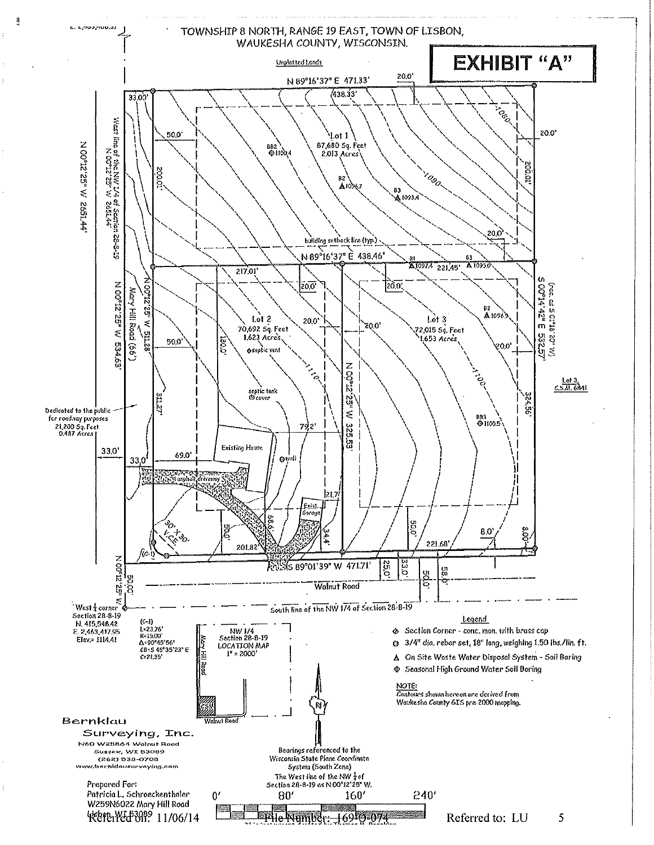

Ë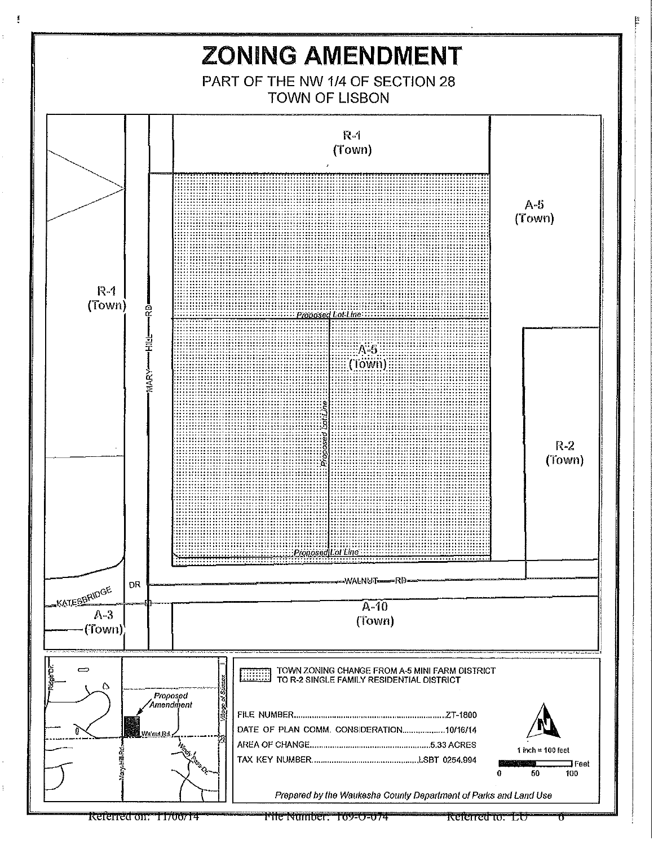

Referred on: 11/00/14

File Number: 169-0-074

Referred to: LU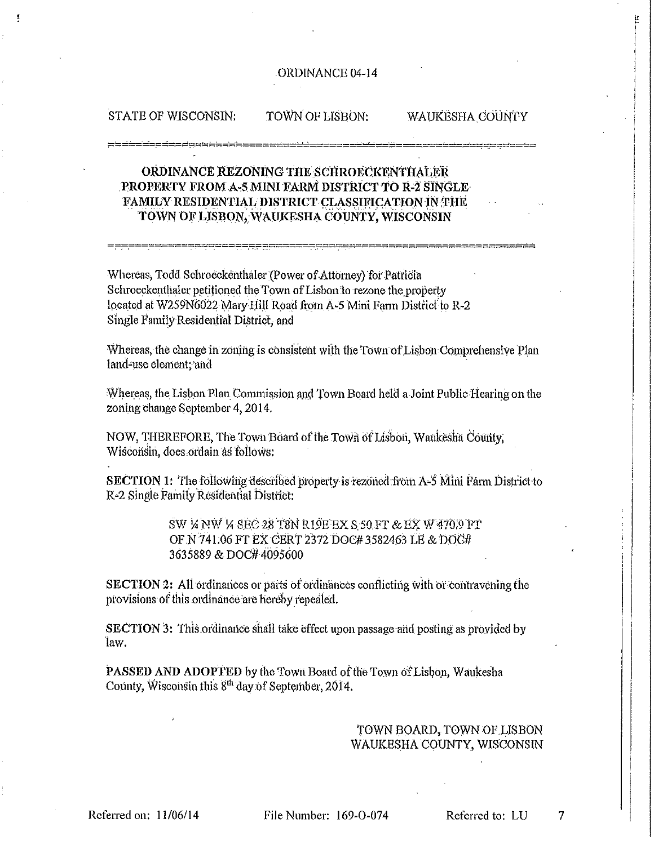#### ORDINANCE 04-14

#### STATE OF WISCONSIN:

TOWN OF LISBON:

WAUKESHA COUNTY

# ORDINANCE REZONING THE SCHROECKENTHALER PROPERTY FROM A-5 MINI FARM DISTRICT TO R-2 SINGLE FAMILY RESIDENTIAL DISTRICT CLASSIFICATION IN THE TOWN OF LISBON, WAUKESHA COUNTY, WISCONSIN

Whereas, Todd Schroeckenthaler (Power of Attorney) for Patricia Schroeckenthaler petitioned the Town of Lisbon to rezone the property located at W259N6022 Mary Hill Road from A-5 Mini Farm District to R-2 Single Family Residential District, and

Whereas, the change in zoning is consistent with the Town of Lisbon Comprehensive Plan land-use element; and

Whereas, the Lisbon Plan Commission and Town Board held a Joint Public Hearing on the zoning change September 4, 2014.

NOW, THEREFORE, The Town Board of the Town of Lisbon, Waukesha County, Wisconsin, does ordain as follows:

SECTION 1: The following described property is rezoned from A-5 Mini Farm District to R-2 Single Family Residential District:

> SW X NW X SEC 28 T8N R19E EX S 50 FT & EX W 470.9 FT OF N 741.06 FT EX CERT 2372 DOC# 3582463 LE & DOC# 3635889 & DOC#4095600

SECTION 2: All ordinances or parts of ordinances conflicting with or contravening the provisions of this ordinance are hereby repeated.

SECTION 3: This ordinance shall take effect upon passage and posting as provided by law.

PASSED AND ADOPTED by the Town Board of the Town of Lisbon, Waukesha County, Wisconsin this 8<sup>th</sup> day of September, 2014.

#### TOWN BOARD, TOWN OF LISBON WAUKESHA COUNTY, WISCONSIN

Referred on: 11/06/14

File Number: 169-O-074

Referred to: LU 7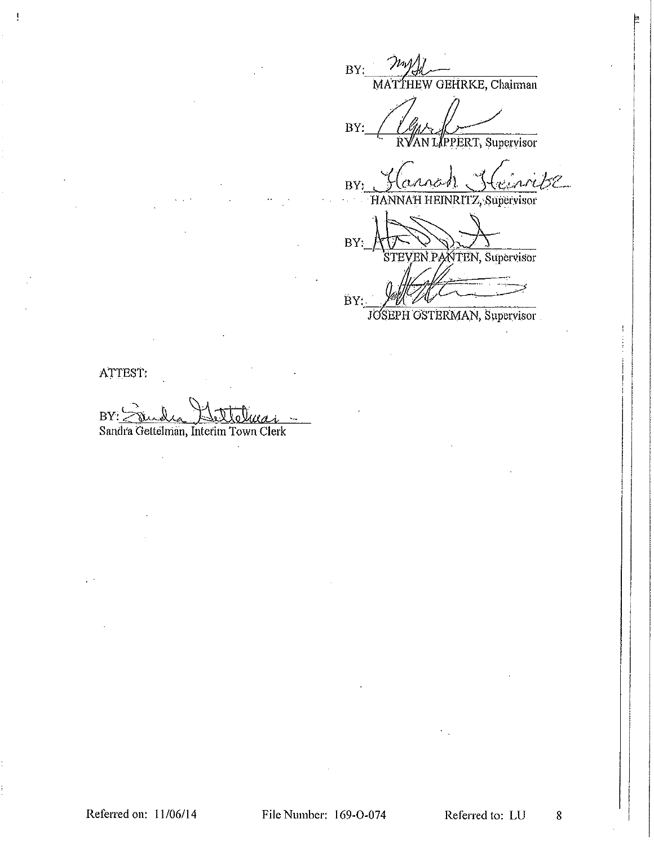myy  $BY_{\_}$ MATTHEW GEHRKE, Chairman

BY: AN LIPPERT, Supervisor Ŕ

BY:

VAH HEINRITZ, Supervisor

BY: **VEN PANTEN, Supervisor** 

ΒY:

JOSEPH OSTERMAN, Supervisor

ATTEST:

B<sub>1</sub>

Sandra Gettelman, Interim Town Clerk

Referred on: 11/06/14